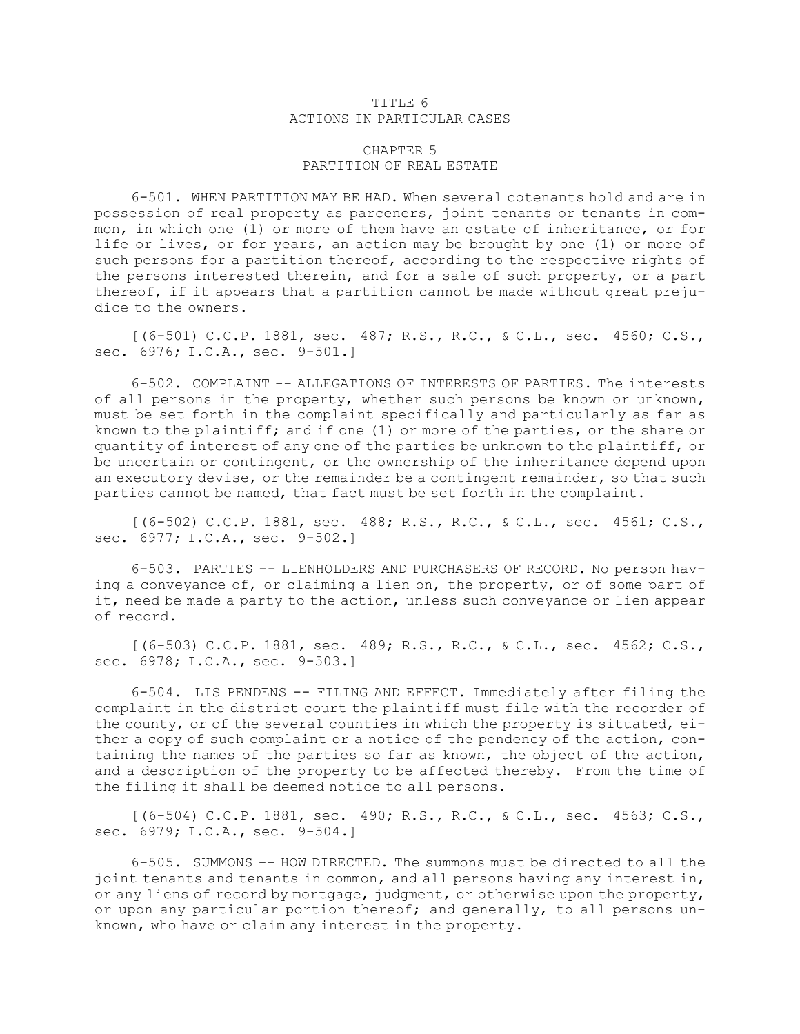## TITLE 6 ACTIONS IN PARTICULAR CASES

## CHAPTER 5 PARTITION OF REAL ESTATE

6-501. WHEN PARTITION MAY BE HAD. When several cotenants hold and are in possession of real property as parceners, joint tenants or tenants in common, in which one (1) or more of them have an estate of inheritance, or for life or lives, or for years, an action may be brought by one (1) or more of such persons for <sup>a</sup> partition thereof, according to the respective rights of the persons interested therein, and for <sup>a</sup> sale of such property, or <sup>a</sup> part thereof, if it appears that <sup>a</sup> partition cannot be made without great prejudice to the owners.

[(6-501) C.C.P. 1881, sec. 487; R.S., R.C., & C.L., sec. 4560; C.S., sec. 6976; I.C.A., sec. 9-501.]

6-502. COMPLAINT -- ALLEGATIONS OF INTERESTS OF PARTIES. The interests of all persons in the property, whether such persons be known or unknown, must be set forth in the complaint specifically and particularly as far as known to the plaintiff; and if one (1) or more of the parties, or the share or quantity of interest of any one of the parties be unknown to the plaintiff, or be uncertain or contingent, or the ownership of the inheritance depend upon an executory devise, or the remainder be <sup>a</sup> contingent remainder, so that such parties cannot be named, that fact must be set forth in the complaint.

[(6-502) C.C.P. 1881, sec. 488; R.S., R.C., & C.L., sec. 4561; C.S., sec. 6977; I.C.A., sec. 9-502.]

6-503. PARTIES -- LIENHOLDERS AND PURCHASERS OF RECORD. No person having <sup>a</sup> conveyance of, or claiming <sup>a</sup> lien on, the property, or of some part of it, need be made <sup>a</sup> party to the action, unless such conveyance or lien appear of record.

[(6-503) C.C.P. 1881, sec. 489; R.S., R.C., & C.L., sec. 4562; C.S., sec. 6978; I.C.A., sec. 9-503.]

6-504. LIS PENDENS -- FILING AND EFFECT. Immediately after filing the complaint in the district court the plaintiff must file with the recorder of the county, or of the several counties in which the property is situated, either <sup>a</sup> copy of such complaint or <sup>a</sup> notice of the pendency of the action, containing the names of the parties so far as known, the object of the action, and <sup>a</sup> description of the property to be affected thereby. From the time of the filing it shall be deemed notice to all persons.

[(6-504) C.C.P. 1881, sec. 490; R.S., R.C., & C.L., sec. 4563; C.S., sec. 6979; I.C.A., sec. 9-504.]

6-505. SUMMONS -- HOW DIRECTED. The summons must be directed to all the joint tenants and tenants in common, and all persons having any interest in, or any liens of record by mortgage, judgment, or otherwise upon the property, or upon any particular portion thereof; and generally, to all persons unknown, who have or claim any interest in the property.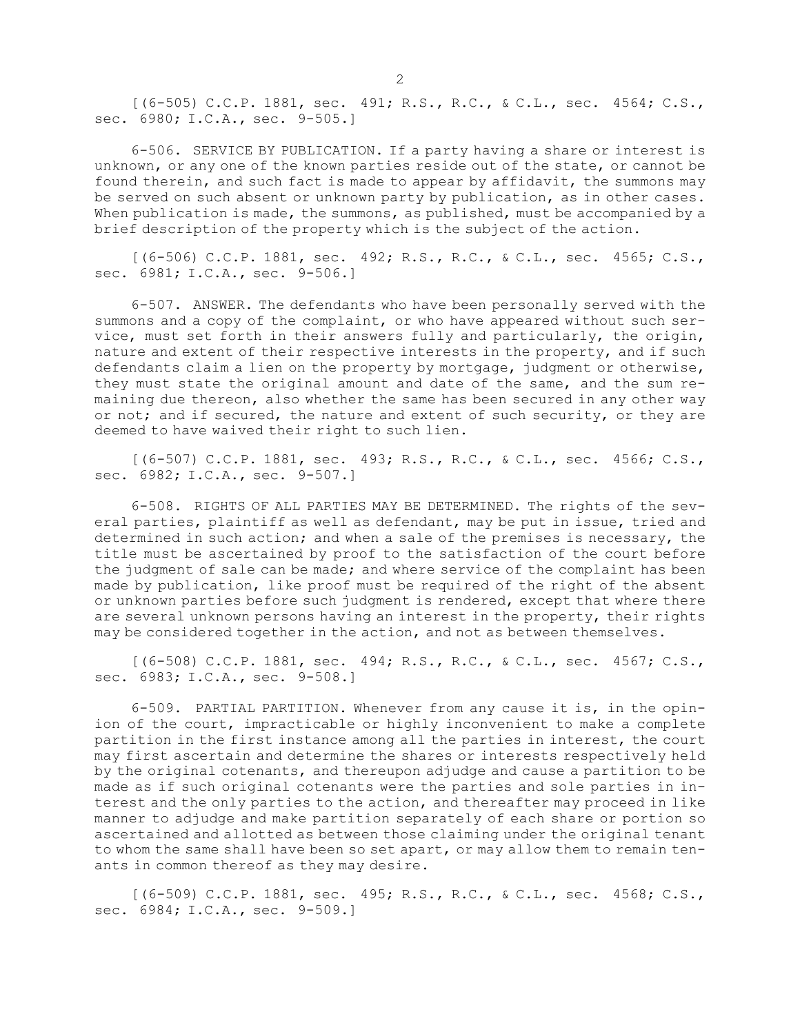[(6-505) C.C.P. 1881, sec. 491; R.S., R.C., & C.L., sec. 4564; C.S., sec. 6980; I.C.A., sec. 9-505.]

6-506. SERVICE BY PUBLICATION. If <sup>a</sup> party having <sup>a</sup> share or interest is unknown, or any one of the known parties reside out of the state, or cannot be found therein, and such fact is made to appear by affidavit, the summons may be served on such absent or unknown party by publication, as in other cases. When publication is made, the summons, as published, must be accompanied by a brief description of the property which is the subject of the action.

[(6-506) C.C.P. 1881, sec. 492; R.S., R.C., & C.L., sec. 4565; C.S., sec. 6981; I.C.A., sec. 9-506.]

6-507. ANSWER. The defendants who have been personally served with the summons and <sup>a</sup> copy of the complaint, or who have appeared without such service, must set forth in their answers fully and particularly, the origin, nature and extent of their respective interests in the property, and if such defendants claim <sup>a</sup> lien on the property by mortgage, judgment or otherwise, they must state the original amount and date of the same, and the sum remaining due thereon, also whether the same has been secured in any other way or not; and if secured, the nature and extent of such security, or they are deemed to have waived their right to such lien.

[(6-507) C.C.P. 1881, sec. 493; R.S., R.C., & C.L., sec. 4566; C.S., sec. 6982; I.C.A., sec. 9-507.]

6-508. RIGHTS OF ALL PARTIES MAY BE DETERMINED. The rights of the several parties, plaintiff as well as defendant, may be put in issue, tried and determined in such action; and when <sup>a</sup> sale of the premises is necessary, the title must be ascertained by proof to the satisfaction of the court before the judgment of sale can be made; and where service of the complaint has been made by publication, like proof must be required of the right of the absent or unknown parties before such judgment is rendered, except that where there are several unknown persons having an interest in the property, their rights may be considered together in the action, and not as between themselves.

[(6-508) C.C.P. 1881, sec. 494; R.S., R.C., & C.L., sec. 4567; C.S., sec. 6983; I.C.A., sec. 9-508.]

6-509. PARTIAL PARTITION. Whenever from any cause it is, in the opinion of the court, impracticable or highly inconvenient to make <sup>a</sup> complete partition in the first instance among all the parties in interest, the court may first ascertain and determine the shares or interests respectively held by the original cotenants, and thereupon adjudge and cause <sup>a</sup> partition to be made as if such original cotenants were the parties and sole parties in interest and the only parties to the action, and thereafter may proceed in like manner to adjudge and make partition separately of each share or portion so ascertained and allotted as between those claiming under the original tenant to whom the same shall have been so set apart, or may allow them to remain tenants in common thereof as they may desire.

[(6-509) C.C.P. 1881, sec. 495; R.S., R.C., & C.L., sec. 4568; C.S., sec. 6984; I.C.A., sec. 9-509.]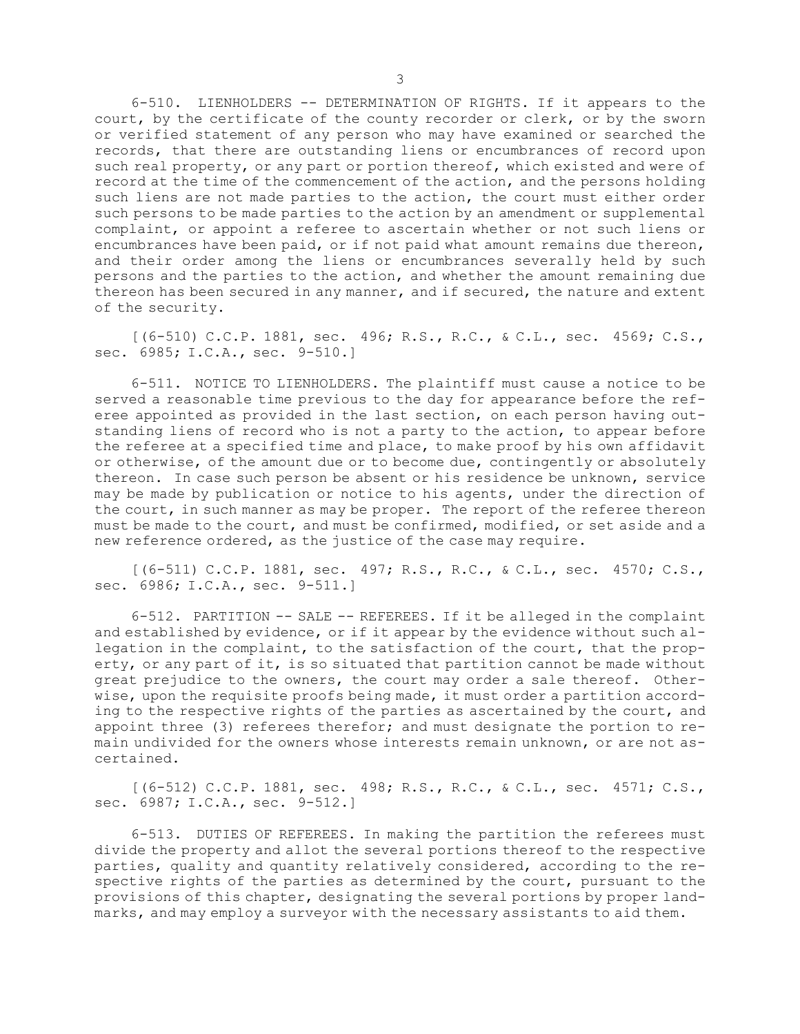6-510. LIENHOLDERS -- DETERMINATION OF RIGHTS. If it appears to the court, by the certificate of the county recorder or clerk, or by the sworn or verified statement of any person who may have examined or searched the records, that there are outstanding liens or encumbrances of record upon such real property, or any part or portion thereof, which existed and were of record at the time of the commencement of the action, and the persons holding such liens are not made parties to the action, the court must either order such persons to be made parties to the action by an amendment or supplemental complaint, or appoint <sup>a</sup> referee to ascertain whether or not such liens or encumbrances have been paid, or if not paid what amount remains due thereon, and their order among the liens or encumbrances severally held by such persons and the parties to the action, and whether the amount remaining due thereon has been secured in any manner, and if secured, the nature and extent of the security.

[(6-510) C.C.P. 1881, sec. 496; R.S., R.C., & C.L., sec. 4569; C.S., sec. 6985; I.C.A., sec. 9-510.]

6-511. NOTICE TO LIENHOLDERS. The plaintiff must cause <sup>a</sup> notice to be served <sup>a</sup> reasonable time previous to the day for appearance before the referee appointed as provided in the last section, on each person having outstanding liens of record who is not <sup>a</sup> party to the action, to appear before the referee at <sup>a</sup> specified time and place, to make proof by his own affidavit or otherwise, of the amount due or to become due, contingently or absolutely thereon. In case such person be absent or his residence be unknown, service may be made by publication or notice to his agents, under the direction of the court, in such manner as may be proper. The report of the referee thereon must be made to the court, and must be confirmed, modified, or set aside and <sup>a</sup> new reference ordered, as the justice of the case may require.

[(6-511) C.C.P. 1881, sec. 497; R.S., R.C., & C.L., sec. 4570; C.S., sec. 6986; I.C.A., sec. 9-511.]

6-512. PARTITION -- SALE -- REFEREES. If it be alleged in the complaint and established by evidence, or if it appear by the evidence without such allegation in the complaint, to the satisfaction of the court, that the property, or any part of it, is so situated that partition cannot be made without great prejudice to the owners, the court may order <sup>a</sup> sale thereof. Otherwise, upon the requisite proofs being made, it must order <sup>a</sup> partition according to the respective rights of the parties as ascertained by the court, and appoint three (3) referees therefor; and must designate the portion to remain undivided for the owners whose interests remain unknown, or are not ascertained.

[(6-512) C.C.P. 1881, sec. 498; R.S., R.C., & C.L., sec. 4571; C.S., sec. 6987; I.C.A., sec. 9-512.]

6-513. DUTIES OF REFEREES. In making the partition the referees must divide the property and allot the several portions thereof to the respective parties, quality and quantity relatively considered, according to the respective rights of the parties as determined by the court, pursuant to the provisions of this chapter, designating the several portions by proper landmarks, and may employ <sup>a</sup> surveyor with the necessary assistants to aid them.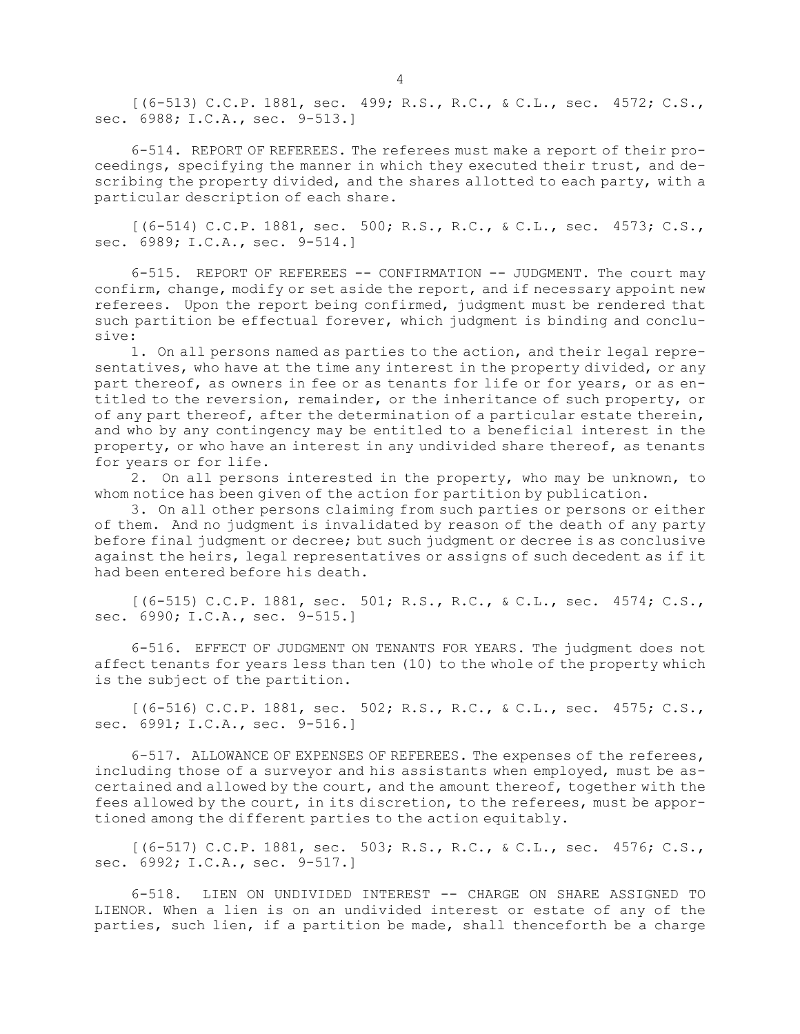[(6-513) C.C.P. 1881, sec. 499; R.S., R.C., & C.L., sec. 4572; C.S., sec. 6988; I.C.A., sec. 9-513.]

6-514. REPORT OF REFEREES. The referees must make <sup>a</sup> report of their proceedings, specifying the manner in which they executed their trust, and describing the property divided, and the shares allotted to each party, with <sup>a</sup> particular description of each share.

[(6-514) C.C.P. 1881, sec. 500; R.S., R.C., & C.L., sec. 4573; C.S., sec. 6989; I.C.A., sec. 9-514.]

6-515. REPORT OF REFEREES -- CONFIRMATION -- JUDGMENT. The court may confirm, change, modify or set aside the report, and if necessary appoint new referees. Upon the report being confirmed, judgment must be rendered that such partition be effectual forever, which judgment is binding and conclusive:

1. On all persons named as parties to the action, and their legal representatives, who have at the time any interest in the property divided, or any part thereof, as owners in fee or as tenants for life or for years, or as entitled to the reversion, remainder, or the inheritance of such property, or of any part thereof, after the determination of <sup>a</sup> particular estate therein, and who by any contingency may be entitled to <sup>a</sup> beneficial interest in the property, or who have an interest in any undivided share thereof, as tenants for years or for life.

2. On all persons interested in the property, who may be unknown, to whom notice has been given of the action for partition by publication.

3. On all other persons claiming from such parties or persons or either of them. And no judgment is invalidated by reason of the death of any party before final judgment or decree; but such judgment or decree is as conclusive against the heirs, legal representatives or assigns of such decedent as if it had been entered before his death.

[(6-515) C.C.P. 1881, sec. 501; R.S., R.C., & C.L., sec. 4574; C.S., sec. 6990; I.C.A., sec. 9-515.]

6-516. EFFECT OF JUDGMENT ON TENANTS FOR YEARS. The judgment does not affect tenants for years less than ten (10) to the whole of the property which is the subject of the partition.

[(6-516) C.C.P. 1881, sec. 502; R.S., R.C., & C.L., sec. 4575; C.S., sec. 6991; I.C.A., sec. 9-516.]

6-517. ALLOWANCE OF EXPENSES OF REFEREES. The expenses of the referees, including those of <sup>a</sup> surveyor and his assistants when employed, must be ascertained and allowed by the court, and the amount thereof, together with the fees allowed by the court, in its discretion, to the referees, must be apportioned among the different parties to the action equitably.

[(6-517) C.C.P. 1881, sec. 503; R.S., R.C., & C.L., sec. 4576; C.S., sec. 6992; I.C.A., sec. 9-517.]

6-518. LIEN ON UNDIVIDED INTEREST -- CHARGE ON SHARE ASSIGNED TO LIENOR. When <sup>a</sup> lien is on an undivided interest or estate of any of the parties, such lien, if <sup>a</sup> partition be made, shall thenceforth be <sup>a</sup> charge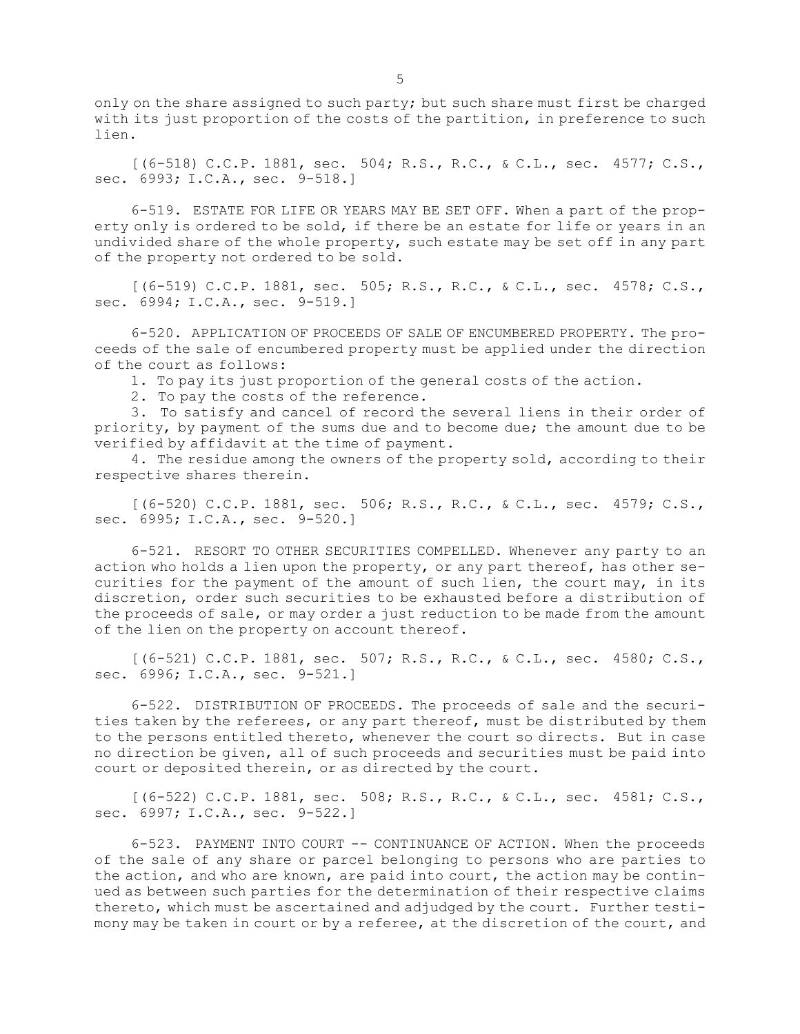only on the share assigned to such party; but such share must first be charged with its just proportion of the costs of the partition, in preference to such lien.

[(6-518) C.C.P. 1881, sec. 504; R.S., R.C., & C.L., sec. 4577; C.S., sec. 6993; I.C.A., sec. 9-518.]

6-519. ESTATE FOR LIFE OR YEARS MAY BE SET OFF. When <sup>a</sup> part of the property only is ordered to be sold, if there be an estate for life or years in an undivided share of the whole property, such estate may be set off in any part of the property not ordered to be sold.

[(6-519) C.C.P. 1881, sec. 505; R.S., R.C., & C.L., sec. 4578; C.S., sec. 6994; I.C.A., sec. 9-519.]

6-520. APPLICATION OF PROCEEDS OF SALE OF ENCUMBERED PROPERTY. The proceeds of the sale of encumbered property must be applied under the direction of the court as follows:

1. To pay its just proportion of the general costs of the action.

2. To pay the costs of the reference.

3. To satisfy and cancel of record the several liens in their order of priority, by payment of the sums due and to become due; the amount due to be verified by affidavit at the time of payment.

4. The residue among the owners of the property sold, according to their respective shares therein.

[(6-520) C.C.P. 1881, sec. 506; R.S., R.C., & C.L., sec. 4579; C.S., sec. 6995; I.C.A., sec. 9-520.]

6-521. RESORT TO OTHER SECURITIES COMPELLED. Whenever any party to an action who holds <sup>a</sup> lien upon the property, or any part thereof, has other securities for the payment of the amount of such lien, the court may, in its discretion, order such securities to be exhausted before <sup>a</sup> distribution of the proceeds of sale, or may order <sup>a</sup> just reduction to be made from the amount of the lien on the property on account thereof.

[(6-521) C.C.P. 1881, sec. 507; R.S., R.C., & C.L., sec. 4580; C.S., sec. 6996; I.C.A., sec. 9-521.]

6-522. DISTRIBUTION OF PROCEEDS. The proceeds of sale and the securities taken by the referees, or any part thereof, must be distributed by them to the persons entitled thereto, whenever the court so directs. But in case no direction be given, all of such proceeds and securities must be paid into court or deposited therein, or as directed by the court.

[(6-522) C.C.P. 1881, sec. 508; R.S., R.C., & C.L., sec. 4581; C.S., sec. 6997; I.C.A., sec. 9-522.]

6-523. PAYMENT INTO COURT -- CONTINUANCE OF ACTION. When the proceeds of the sale of any share or parcel belonging to persons who are parties to the action, and who are known, are paid into court, the action may be continued as between such parties for the determination of their respective claims thereto, which must be ascertained and adjudged by the court. Further testimony may be taken in court or by <sup>a</sup> referee, at the discretion of the court, and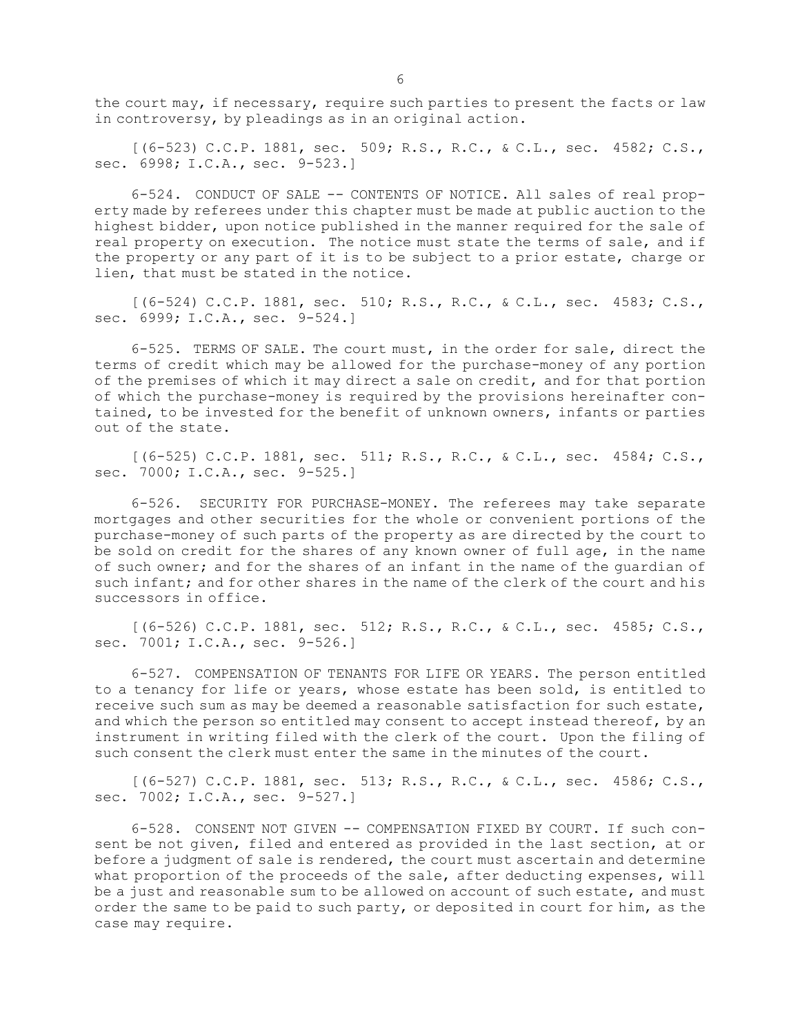the court may, if necessary, require such parties to present the facts or law in controversy, by pleadings as in an original action.

[(6-523) C.C.P. 1881, sec. 509; R.S., R.C., & C.L., sec. 4582; C.S., sec. 6998; I.C.A., sec. 9-523.]

6-524. CONDUCT OF SALE -- CONTENTS OF NOTICE. All sales of real property made by referees under this chapter must be made at public auction to the highest bidder, upon notice published in the manner required for the sale of real property on execution. The notice must state the terms of sale, and if the property or any part of it is to be subject to <sup>a</sup> prior estate, charge or lien, that must be stated in the notice.

[(6-524) C.C.P. 1881, sec. 510; R.S., R.C., & C.L., sec. 4583; C.S., sec. 6999; I.C.A., sec. 9-524.]

6-525. TERMS OF SALE. The court must, in the order for sale, direct the terms of credit which may be allowed for the purchase-money of any portion of the premises of which it may direct <sup>a</sup> sale on credit, and for that portion of which the purchase-money is required by the provisions hereinafter contained, to be invested for the benefit of unknown owners, infants or parties out of the state.

[(6-525) C.C.P. 1881, sec. 511; R.S., R.C., & C.L., sec. 4584; C.S., sec. 7000; I.C.A., sec. 9-525.]

6-526. SECURITY FOR PURCHASE-MONEY. The referees may take separate mortgages and other securities for the whole or convenient portions of the purchase-money of such parts of the property as are directed by the court to be sold on credit for the shares of any known owner of full age, in the name of such owner; and for the shares of an infant in the name of the guardian of such infant; and for other shares in the name of the clerk of the court and his successors in office.

[(6-526) C.C.P. 1881, sec. 512; R.S., R.C., & C.L., sec. 4585; C.S., sec. 7001; I.C.A., sec. 9-526.]

6-527. COMPENSATION OF TENANTS FOR LIFE OR YEARS. The person entitled to <sup>a</sup> tenancy for life or years, whose estate has been sold, is entitled to receive such sum as may be deemed <sup>a</sup> reasonable satisfaction for such estate, and which the person so entitled may consent to accept instead thereof, by an instrument in writing filed with the clerk of the court. Upon the filing of such consent the clerk must enter the same in the minutes of the court.

[(6-527) C.C.P. 1881, sec. 513; R.S., R.C., & C.L., sec. 4586; C.S., sec. 7002; I.C.A., sec. 9-527.]

6-528. CONSENT NOT GIVEN -- COMPENSATION FIXED BY COURT. If such consent be not given, filed and entered as provided in the last section, at or before <sup>a</sup> judgment of sale is rendered, the court must ascertain and determine what proportion of the proceeds of the sale, after deducting expenses, will be <sup>a</sup> just and reasonable sum to be allowed on account of such estate, and must order the same to be paid to such party, or deposited in court for him, as the case may require.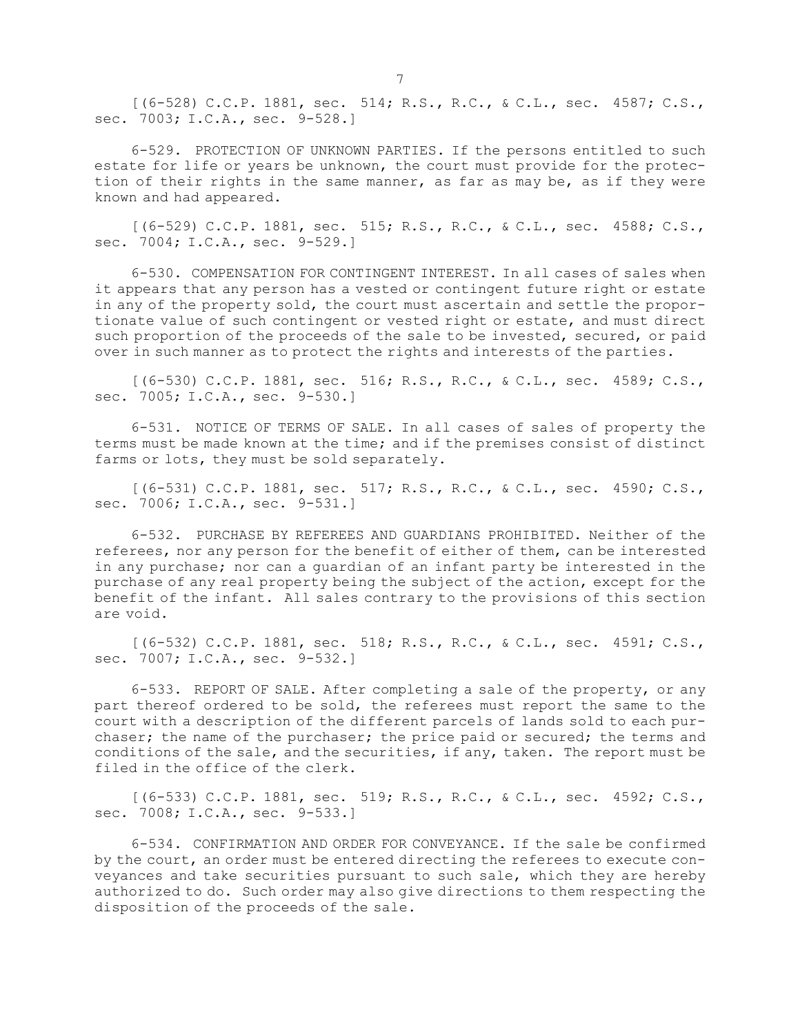[(6-528) C.C.P. 1881, sec. 514; R.S., R.C., & C.L., sec. 4587; C.S., sec. 7003; I.C.A., sec. 9-528.]

6-529. PROTECTION OF UNKNOWN PARTIES. If the persons entitled to such estate for life or years be unknown, the court must provide for the protection of their rights in the same manner, as far as may be, as if they were known and had appeared.

[(6-529) C.C.P. 1881, sec. 515; R.S., R.C., & C.L., sec. 4588; C.S., sec. 7004; I.C.A., sec. 9-529.]

6-530. COMPENSATION FOR CONTINGENT INTEREST. In all cases of sales when it appears that any person has <sup>a</sup> vested or contingent future right or estate in any of the property sold, the court must ascertain and settle the proportionate value of such contingent or vested right or estate, and must direct such proportion of the proceeds of the sale to be invested, secured, or paid over in such manner as to protect the rights and interests of the parties.

[(6-530) C.C.P. 1881, sec. 516; R.S., R.C., & C.L., sec. 4589; C.S., sec. 7005; I.C.A., sec. 9-530.]

6-531. NOTICE OF TERMS OF SALE. In all cases of sales of property the terms must be made known at the time; and if the premises consist of distinct farms or lots, they must be sold separately.

[(6-531) C.C.P. 1881, sec. 517; R.S., R.C., & C.L., sec. 4590; C.S., sec. 7006; I.C.A., sec. 9-531.]

6-532. PURCHASE BY REFEREES AND GUARDIANS PROHIBITED. Neither of the referees, nor any person for the benefit of either of them, can be interested in any purchase; nor can <sup>a</sup> guardian of an infant party be interested in the purchase of any real property being the subject of the action, except for the benefit of the infant. All sales contrary to the provisions of this section are void.

[(6-532) C.C.P. 1881, sec. 518; R.S., R.C., & C.L., sec. 4591; C.S., sec. 7007; I.C.A., sec. 9-532.]

6-533. REPORT OF SALE. After completing <sup>a</sup> sale of the property, or any part thereof ordered to be sold, the referees must report the same to the court with <sup>a</sup> description of the different parcels of lands sold to each purchaser; the name of the purchaser; the price paid or secured; the terms and conditions of the sale, and the securities, if any, taken. The report must be filed in the office of the clerk.

[(6-533) C.C.P. 1881, sec. 519; R.S., R.C., & C.L., sec. 4592; C.S., sec. 7008; I.C.A., sec. 9-533.]

6-534. CONFIRMATION AND ORDER FOR CONVEYANCE. If the sale be confirmed by the court, an order must be entered directing the referees to execute conveyances and take securities pursuant to such sale, which they are hereby authorized to do. Such order may also give directions to them respecting the disposition of the proceeds of the sale.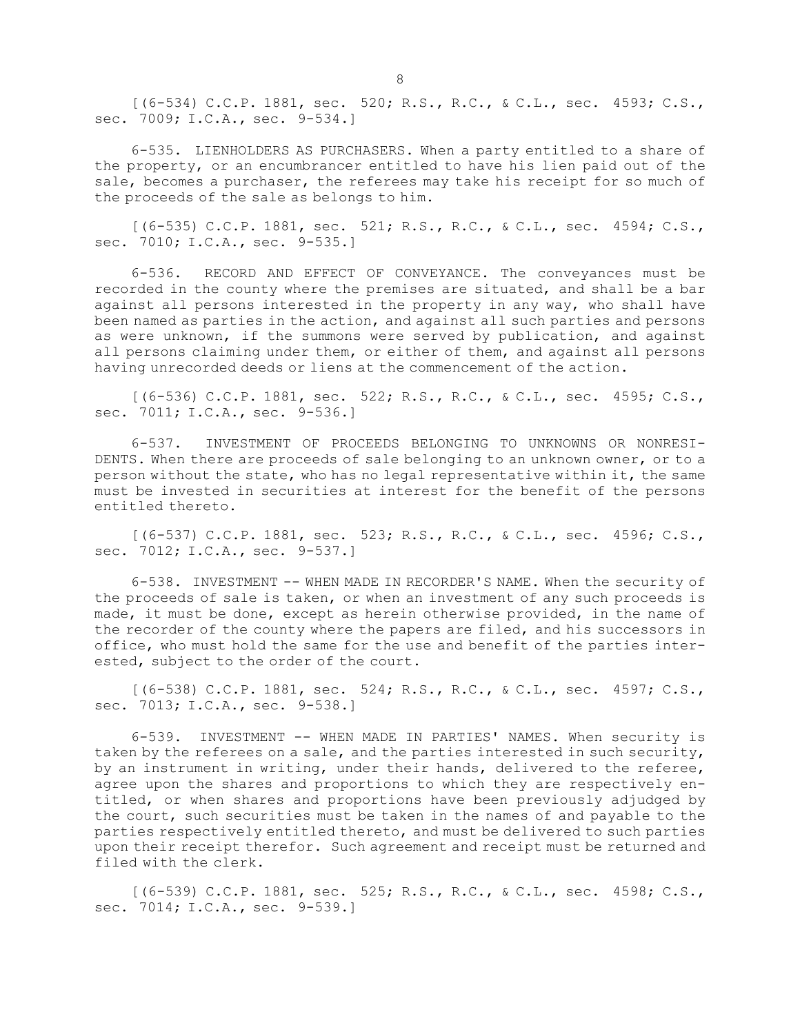[(6-534) C.C.P. 1881, sec. 520; R.S., R.C., & C.L., sec. 4593; C.S., sec. 7009; I.C.A., sec. 9-534.]

6-535. LIENHOLDERS AS PURCHASERS. When <sup>a</sup> party entitled to <sup>a</sup> share of the property, or an encumbrancer entitled to have his lien paid out of the sale, becomes <sup>a</sup> purchaser, the referees may take his receipt for so much of the proceeds of the sale as belongs to him.

 $[(6-535)$  C.C.P. 1881, sec. 521; R.S., R.C., & C.L., sec. 4594; C.S., sec. 7010; I.C.A., sec. 9-535.]

6-536. RECORD AND EFFECT OF CONVEYANCE. The conveyances must be recorded in the county where the premises are situated, and shall be <sup>a</sup> bar against all persons interested in the property in any way, who shall have been named as parties in the action, and against all such parties and persons as were unknown, if the summons were served by publication, and against all persons claiming under them, or either of them, and against all persons having unrecorded deeds or liens at the commencement of the action.

[(6-536) C.C.P. 1881, sec. 522; R.S., R.C., & C.L., sec. 4595; C.S., sec. 7011; I.C.A., sec. 9-536.]

6-537. INVESTMENT OF PROCEEDS BELONGING TO UNKNOWNS OR NONRESI-DENTS. When there are proceeds of sale belonging to an unknown owner, or to <sup>a</sup> person without the state, who has no legal representative within it, the same must be invested in securities at interest for the benefit of the persons entitled thereto.

[(6-537) C.C.P. 1881, sec. 523; R.S., R.C., & C.L., sec. 4596; C.S., sec. 7012; I.C.A., sec. 9-537.]

6-538. INVESTMENT -- WHEN MADE IN RECORDER'S NAME. When the security of the proceeds of sale is taken, or when an investment of any such proceeds is made, it must be done, except as herein otherwise provided, in the name of the recorder of the county where the papers are filed, and his successors in office, who must hold the same for the use and benefit of the parties interested, subject to the order of the court.

[(6-538) C.C.P. 1881, sec. 524; R.S., R.C., & C.L., sec. 4597; C.S., sec. 7013; I.C.A., sec. 9-538.]

6-539. INVESTMENT -- WHEN MADE IN PARTIES' NAMES. When security is taken by the referees on <sup>a</sup> sale, and the parties interested in such security, by an instrument in writing, under their hands, delivered to the referee, agree upon the shares and proportions to which they are respectively entitled, or when shares and proportions have been previously adjudged by the court, such securities must be taken in the names of and payable to the parties respectively entitled thereto, and must be delivered to such parties upon their receipt therefor. Such agreement and receipt must be returned and filed with the clerk.

[(6-539) C.C.P. 1881, sec. 525; R.S., R.C., & C.L., sec. 4598; C.S., sec. 7014; I.C.A., sec. 9-539.]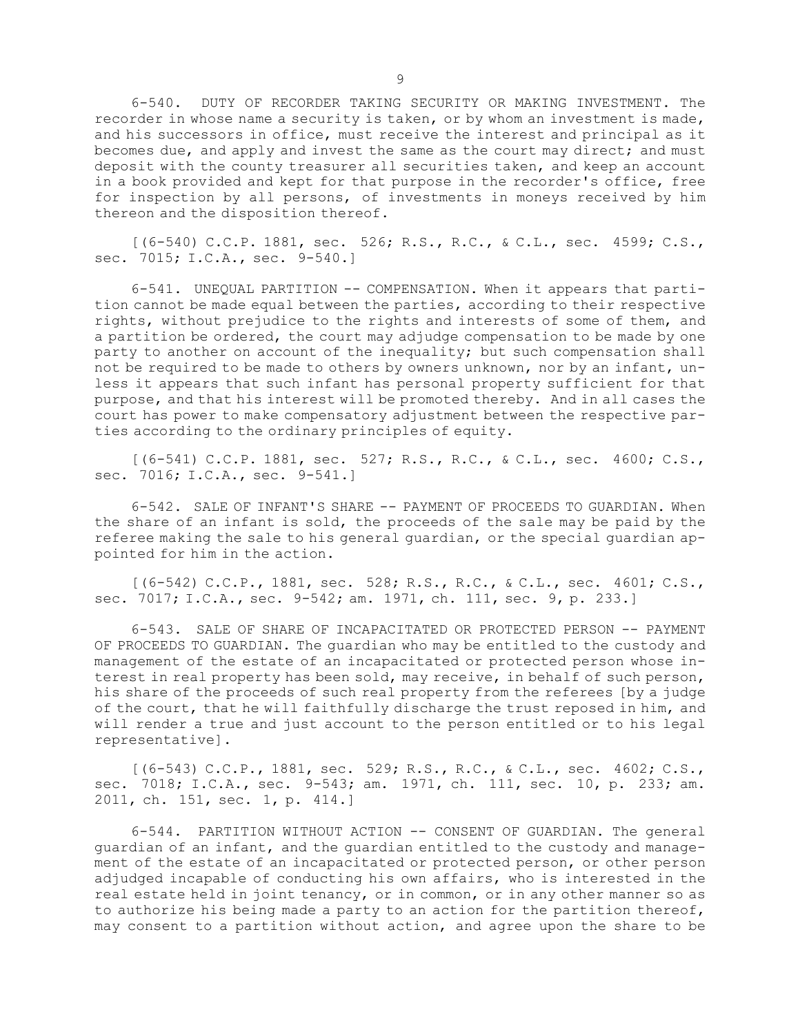6-540. DUTY OF RECORDER TAKING SECURITY OR MAKING INVESTMENT. The recorder in whose name <sup>a</sup> security is taken, or by whom an investment is made, and his successors in office, must receive the interest and principal as it becomes due, and apply and invest the same as the court may direct; and must deposit with the county treasurer all securities taken, and keep an account in <sup>a</sup> book provided and kept for that purpose in the recorder's office, free for inspection by all persons, of investments in moneys received by him thereon and the disposition thereof.

[(6-540) C.C.P. 1881, sec. 526; R.S., R.C., & C.L., sec. 4599; C.S., sec. 7015; I.C.A., sec. 9-540.]

6-541. UNEQUAL PARTITION -- COMPENSATION. When it appears that partition cannot be made equal between the parties, according to their respective rights, without prejudice to the rights and interests of some of them, and <sup>a</sup> partition be ordered, the court may adjudge compensation to be made by one party to another on account of the inequality; but such compensation shall not be required to be made to others by owners unknown, nor by an infant, unless it appears that such infant has personal property sufficient for that purpose, and that his interest will be promoted thereby. And in all cases the court has power to make compensatory adjustment between the respective parties according to the ordinary principles of equity.

[(6-541) C.C.P. 1881, sec. 527; R.S., R.C., & C.L., sec. 4600; C.S., sec. 7016; I.C.A., sec. 9-541.]

6-542. SALE OF INFANT'S SHARE -- PAYMENT OF PROCEEDS TO GUARDIAN. When the share of an infant is sold, the proceeds of the sale may be paid by the referee making the sale to his general guardian, or the special guardian appointed for him in the action.

[(6-542) C.C.P., 1881, sec. 528; R.S., R.C., & C.L., sec. 4601; C.S., sec. 7017; I.C.A., sec. 9-542; am. 1971, ch. 111, sec. 9, p. 233.]

6-543. SALE OF SHARE OF INCAPACITATED OR PROTECTED PERSON -- PAYMENT OF PROCEEDS TO GUARDIAN. The guardian who may be entitled to the custody and management of the estate of an incapacitated or protected person whose interest in real property has been sold, may receive, in behalf of such person, his share of the proceeds of such real property from the referees [by <sup>a</sup> judge of the court, that he will faithfully discharge the trust reposed in him, and will render <sup>a</sup> true and just account to the person entitled or to his legal representative].

[(6-543) C.C.P., 1881, sec. 529; R.S., R.C., & C.L., sec. 4602; C.S., sec. 7018; I.C.A., sec. 9-543; am. 1971, ch. 111, sec. 10, p. 233; am. 2011, ch. 151, sec. 1, p. 414.]

6-544. PARTITION WITHOUT ACTION -- CONSENT OF GUARDIAN. The general guardian of an infant, and the guardian entitled to the custody and management of the estate of an incapacitated or protected person, or other person adjudged incapable of conducting his own affairs, who is interested in the real estate held in joint tenancy, or in common, or in any other manner so as to authorize his being made <sup>a</sup> party to an action for the partition thereof, may consent to <sup>a</sup> partition without action, and agree upon the share to be